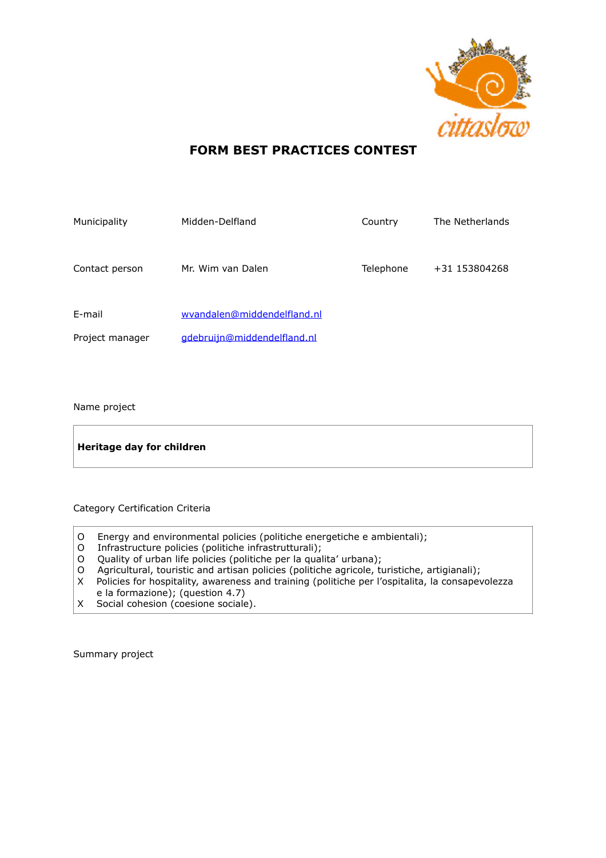

## **FORM BEST PRACTICES CONTEST**

| Municipality              | Midden-Delfland                                            | Country   | The Netherlands |
|---------------------------|------------------------------------------------------------|-----------|-----------------|
| Contact person            | Mr. Wim van Dalen                                          | Telephone | +31 153804268   |
| E-mail<br>Project manager | wyandalen@middendelfland.nl<br>gdebruijn@middendelfland.nl |           |                 |
|                           |                                                            |           |                 |

## Name project

| Heritage day for children |  |
|---------------------------|--|
|---------------------------|--|

Category Certification Criteria

- O Energy and environmental policies (politiche energetiche e ambientali);
- O Infrastructure policies (politiche infrastrutturali);
- O Quality of urban life policies (politiche per la qualita' urbana);
- O Agricultural, touristic and artisan policies (politiche agricole, turistiche, artigianali);
- X Policies for hospitality, awareness and training (politiche per l'ospitalita, la consapevolezza e la formazione); (question 4.7)
- X Social cohesion (coesione sociale).

Summary project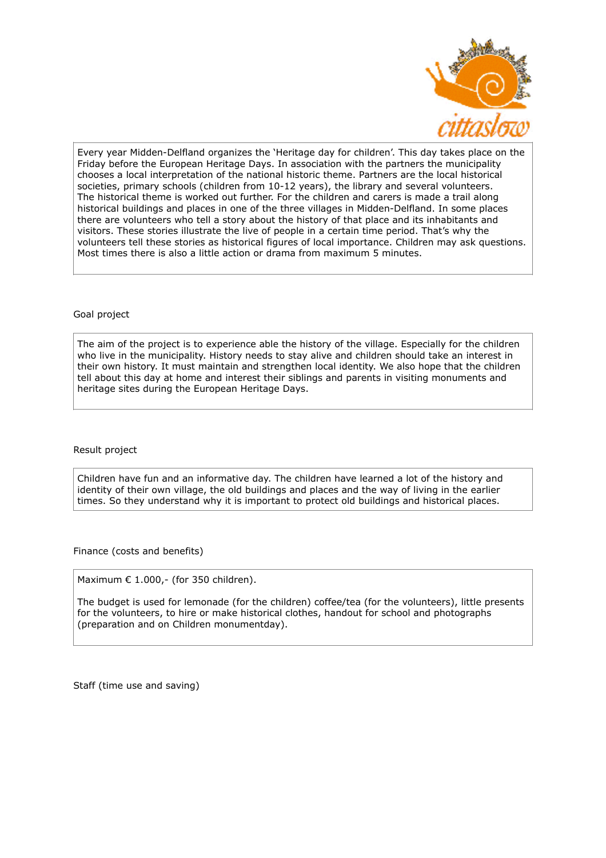

Every year Midden-Delfland organizes the 'Heritage day for children'. This day takes place on the Friday before the European Heritage Days. In association with the partners the municipality chooses a local interpretation of the national historic theme. Partners are the local historical societies, primary schools (children from 10-12 years), the library and several volunteers. The historical theme is worked out further. For the children and carers is made a trail along historical buildings and places in one of the three villages in Midden-Delfland. In some places there are volunteers who tell a story about the history of that place and its inhabitants and visitors. These stories illustrate the live of people in a certain time period. That's why the volunteers tell these stories as historical figures of local importance. Children may ask questions. Most times there is also a little action or drama from maximum 5 minutes.

## Goal project

The aim of the project is to experience able the history of the village. Especially for the children who live in the municipality. History needs to stay alive and children should take an interest in their own history. It must maintain and strengthen local identity. We also hope that the children tell about this day at home and interest their siblings and parents in visiting monuments and heritage sites during the European Heritage Days.

Result project

Children have fun and an informative day. The children have learned a lot of the history and identity of their own village, the old buildings and places and the way of living in the earlier times. So they understand why it is important to protect old buildings and historical places.

Finance (costs and benefits)

Maximum € 1.000,- (for 350 children).

The budget is used for lemonade (for the children) coffee/tea (for the volunteers), little presents for the volunteers, to hire or make historical clothes, handout for school and photographs (preparation and on Children monumentday).

Staff (time use and saving)